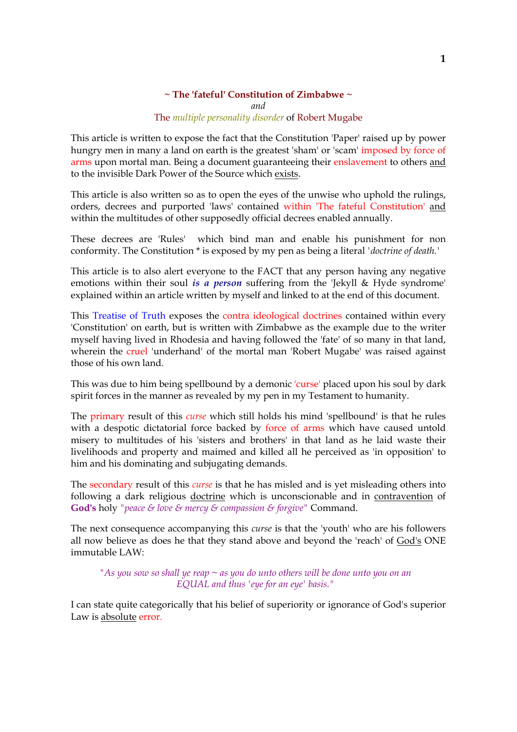#### **~ The 'fateful' Constitution of Zimbabwe ~** *and*

### The *multiple personality disorder* of Robert Mugabe

This article is written to expose the fact that the Constitution 'Paper' raised up by power hungry men in many a land on earth is the greatest 'sham' or 'scam' imposed by force of arms upon mortal man. Being a document guaranteeing their enslavement to others and to the invisible Dark Power of the Source which exists.

This article is also written so as to open the eyes of the unwise who uphold the rulings, orders, decrees and purported 'laws' contained within 'The fateful Constitution' and within the multitudes of other supposedly official decrees enabled annually.

These decrees are 'Rules' which bind man and enable his punishment for non conformity. The Constitution \* is exposed by my pen as being a literal *'doctrine of death.'*

This article is to also alert everyone to the FACT that any person having any negative emotions within their soul *is a person* suffering from the 'Jekyll & Hyde syndrome' explained within an article written by myself and linked to at the end of this document.

This Treatise of Truth exposes the contra ideological doctrines contained within every 'Constitution' on earth, but is written with Zimbabwe as the example due to the writer myself having lived in Rhodesia and having followed the 'fate' of so many in that land, wherein the cruel 'underhand' of the mortal man 'Robert Mugabe' was raised against those of his own land.

This was due to him being spellbound by a demonic 'curse' placed upon his soul by dark spirit forces in the manner as revealed by my pen in my Testament to humanity.

The primary result of this *curse* which still holds his mind 'spellbound' is that he rules with a despotic dictatorial force backed by force of arms which have caused untold misery to multitudes of his 'sisters and brothers' in that land as he laid waste their livelihoods and property and maimed and killed all he perceived as 'in opposition' to him and his dominating and subjugating demands.

The secondary result of this *curse* is that he has misled and is yet misleading others into following a dark religious doctrine which is unconscionable and in contravention of **God's** holy *"peace & love & mercy & compassion & forgive"* Command.

The next consequence accompanying this *curse* is that the 'youth' who are his followers all now believe as does he that they stand above and beyond the 'reach' of God's ONE immutable LAW:

*"As you sow so shall ye reap ~ as you do unto others will be done unto you on an EQUAL and thus 'eye for an eye' basis."*

I can state quite categorically that his belief of superiority or ignorance of God's superior Law is absolute error.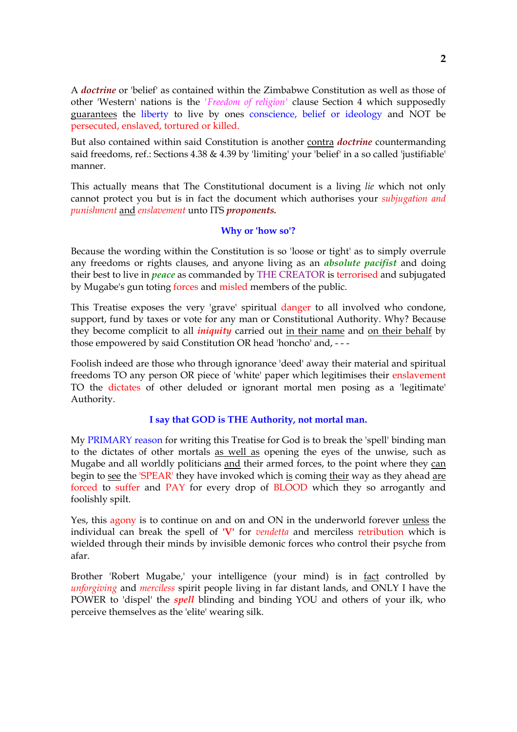A *doctrine* or 'belief' as contained within the Zimbabwe Constitution as well as those of other 'Western' nations is the *'Freedom of religion'* clause Section 4 which supposedly guarantees the liberty to live by ones conscience, belief or ideology and NOT be persecuted, enslaved, tortured or killed.

But also contained within said Constitution is another contra *doctrine* countermanding said freedoms, ref.: Sections 4.38 & 4.39 by 'limiting' your 'belief' in a so called 'justifiable' manner.

This actually means that The Constitutional document is a living *lie* which not only cannot protect you but is in fact the document which authorises your *subjugation and punishment* and *enslavement* unto ITS *proponents.*

## **Why or 'how so'?**

Because the wording within the Constitution is so 'loose or tight' as to simply overrule any freedoms or rights clauses, and anyone living as an *absolute pacifist* and doing their best to live in *peace* as commanded by THE CREATOR is terrorised and subjugated by Mugabe's gun toting forces and misled members of the public.

This Treatise exposes the very 'grave' spiritual danger to all involved who condone, support, fund by taxes or vote for any man or Constitutional Authority. Why? Because they become complicit to all *iniquity* carried out in their name and on their behalf by those empowered by said Constitution OR head 'honcho' and, - - -

Foolish indeed are those who through ignorance 'deed' away their material and spiritual freedoms TO any person OR piece of 'white' paper which legitimises their enslavement TO the dictates of other deluded or ignorant mortal men posing as a 'legitimate' Authority.

## **I say that GOD is THE Authority, not mortal man.**

My PRIMARY reason for writing this Treatise for God is to break the 'spell' binding man to the dictates of other mortals as well as opening the eyes of the unwise, such as Mugabe and all worldly politicians and their armed forces, to the point where they can begin to see the 'SPEAR' they have invoked which is coming their way as they ahead are forced to suffer and PAY for every drop of BLOOD which they so arrogantly and foolishly spilt.

Yes, this agony is to continue on and on and ON in the underworld forever unless the individual can break the spell of **'V'** for *vendetta* and merciless retribution which is wielded through their minds by invisible demonic forces who control their psyche from afar.

Brother 'Robert Mugabe,' your intelligence (your mind) is in fact controlled by *unforgiving* and *merciless* spirit people living in far distant lands, and ONLY I have the POWER to 'dispel' the *spell* blinding and binding YOU and others of your ilk, who perceive themselves as the 'elite' wearing silk.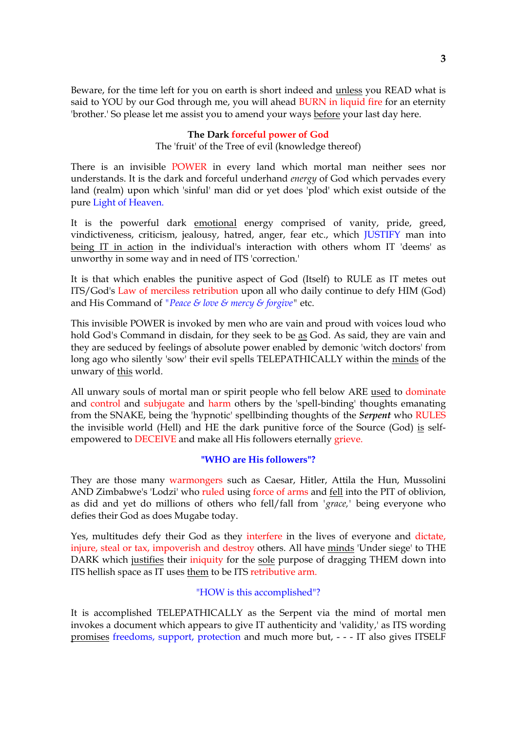Beware, for the time left for you on earth is short indeed and unless you READ what is said to YOU by our God through me, you will ahead BURN in liquid fire for an eternity 'brother.' So please let me assist you to amend your ways before your last day here.

## **The Dark forceful power of God**

The 'fruit' of the Tree of evil (knowledge thereof)

There is an invisible POWER in every land which mortal man neither sees nor understands. It is the dark and forceful underhand *energy* of God which pervades every land (realm) upon which 'sinful' man did or yet does 'plod' which exist outside of the pure Light of Heaven.

It is the powerful dark emotional energy comprised of vanity, pride, greed, vindictiveness, criticism, jealousy, hatred, anger, fear etc., which JUSTIFY man into being IT in action in the individual's interaction with others whom IT 'deems' as unworthy in some way and in need of ITS 'correction.'

It is that which enables the punitive aspect of God (Itself) to RULE as IT metes out ITS/God's Law of merciless retribution upon all who daily continue to defy HIM (God) and His Command of *"Peace & love & mercy & forgive"* etc.

This invisible POWER is invoked by men who are vain and proud with voices loud who hold God's Command in disdain, for they seek to be as God. As said, they are vain and they are seduced by feelings of absolute power enabled by demonic 'witch doctors' from long ago who silently 'sow' their evil spells TELEPATHICALLY within the minds of the unwary of this world.

All unwary souls of mortal man or spirit people who fell below ARE used to dominate and control and subjugate and harm others by the 'spell-binding' thoughts emanating from the SNAKE, being the 'hypnotic' spellbinding thoughts of the *Serpent* who RULES the invisible world (Hell) and HE the dark punitive force of the Source (God) is selfempowered to DECEIVE and make all His followers eternally grieve.

## **"WHO are His followers"?**

They are those many warmongers such as Caesar, Hitler, Attila the Hun, Mussolini AND Zimbabwe's 'Lodzi' who ruled using force of arms and fell into the PIT of oblivion, as did and yet do millions of others who fell/fall from *'grace,'* being everyone who defies their God as does Mugabe today.

Yes, multitudes defy their God as they interfere in the lives of everyone and dictate, injure, steal or tax, impoverish and destroy others. All have minds 'Under siege' to THE DARK which justifies their iniquity for the sole purpose of dragging THEM down into ITS hellish space as IT uses them to be ITS retributive arm.

#### "HOW is this accomplished"?

It is accomplished TELEPATHICALLY as the Serpent via the mind of mortal men invokes a document which appears to give IT authenticity and 'validity,' as ITS wording promises freedoms, support, protection and much more but, - - - IT also gives ITSELF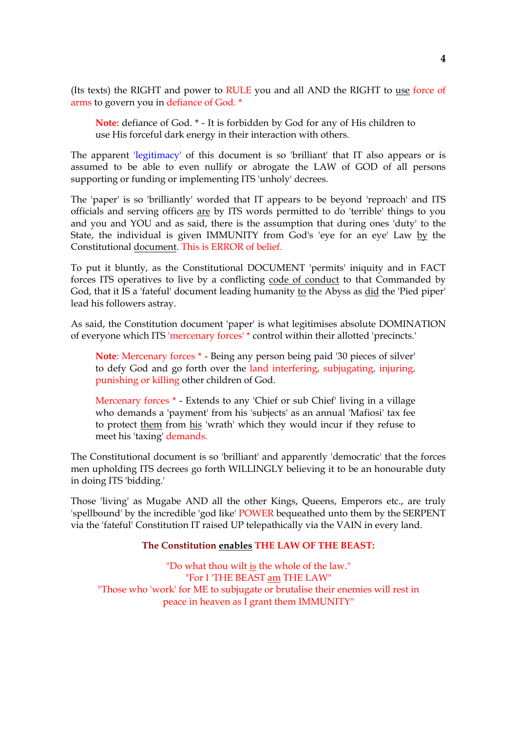(Its texts) the RIGHT and power to RULE you and all AND the RIGHT to use force of arms to govern you in defiance of God. \*

**Note**: defiance of God. \* - It is forbidden by God for any of His children to use His forceful dark energy in their interaction with others.

The apparent 'legitimacy' of this document is so 'brilliant' that IT also appears or is assumed to be able to even nullify or abrogate the LAW of GOD of all persons supporting or funding or implementing ITS 'unholy' decrees.

The 'paper' is so 'brilliantly' worded that IT appears to be beyond 'reproach' and ITS officials and serving officers are by ITS words permitted to do 'terrible' things to you and you and YOU and as said, there is the assumption that during ones 'duty' to the State, the individual is given IMMUNITY from God's 'eye for an eye' Law by the Constitutional document. This is ERROR of belief.

To put it bluntly, as the Constitutional DOCUMENT 'permits' iniquity and in FACT forces ITS operatives to live by a conflicting code of conduct to that Commanded by God, that it IS a 'fateful' document leading humanity to the Abyss as did the 'Pied piper' lead his followers astray.

As said, the Constitution document 'paper' is what legitimises absolute DOMINATION of everyone which ITS 'mercenary forces' \* control within their allotted 'precincts.'

**Note**: Mercenary forces \* - Being any person being paid '30 pieces of silver' to defy God and go forth over the land interfering, subjugating, injuring, punishing or killing other children of God.

Mercenary forces \* - Extends to any 'Chief or sub Chief' living in a village who demands a 'payment' from his 'subjects' as an annual 'Mafiosi' tax fee to protect them from his 'wrath' which they would incur if they refuse to meet his 'taxing' demands.

The Constitutional document is so 'brilliant' and apparently 'democratic' that the forces men upholding ITS decrees go forth WILLINGLY believing it to be an honourable duty in doing ITS 'bidding.'

Those 'living' as Mugabe AND all the other Kings, Queens, Emperors etc., are truly 'spellbound' by the incredible 'god like' POWER bequeathed unto them by the SERPENT via the 'fateful' Constitution IT raised UP telepathically via the VAIN in every land.

#### **The Constitution enables THE LAW OF THE BEAST:**

"Do what thou wilt is the whole of the law." "For I 'THE BEAST am THE LAW" "Those who 'work' for ME to subjugate or brutalise their enemies will rest in peace in heaven as I grant them IMMUNITY"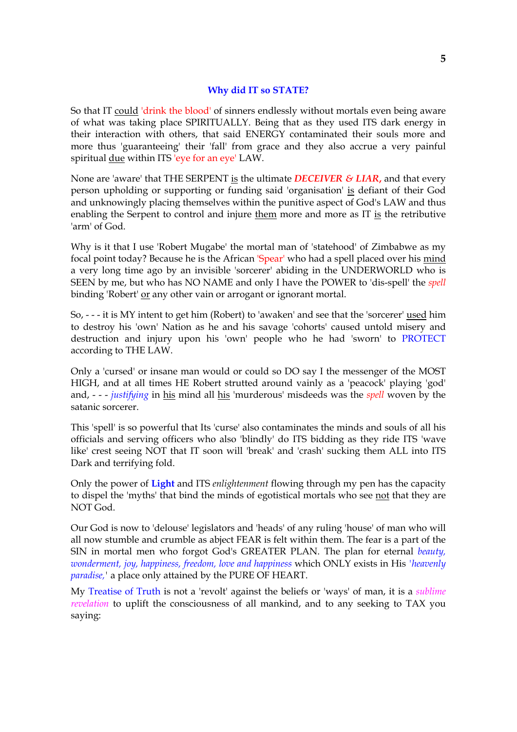## **Why did IT so STATE?**

So that IT could 'drink the blood' of sinners endlessly without mortals even being aware of what was taking place SPIRITUALLY. Being that as they used ITS dark energy in their interaction with others, that said ENERGY contaminated their souls more and more thus 'guaranteeing' their 'fall' from grace and they also accrue a very painful spiritual due within ITS 'eye for an eye' LAW.

None are 'aware' that THE SERPENT is the ultimate *DECEIVER & LIAR***,** and that every person upholding or supporting or funding said 'organisation' is defiant of their God and unknowingly placing themselves within the punitive aspect of God's LAW and thus enabling the Serpent to control and injure them more and more as IT is the retributive 'arm' of God.

Why is it that I use 'Robert Mugabe' the mortal man of 'statehood' of Zimbabwe as my focal point today? Because he is the African 'Spear' who had a spell placed over his mind a very long time ago by an invisible 'sorcerer' abiding in the UNDERWORLD who is SEEN by me, but who has NO NAME and only I have the POWER to 'dis-spell' the *spell* binding 'Robert' or any other vain or arrogant or ignorant mortal.

So, - - - it is MY intent to get him (Robert) to 'awaken' and see that the 'sorcerer' used him to destroy his 'own' Nation as he and his savage 'cohorts' caused untold misery and destruction and injury upon his 'own' people who he had 'sworn' to PROTECT according to THE LAW.

Only a 'cursed' or insane man would or could so DO say I the messenger of the MOST HIGH, and at all times HE Robert strutted around vainly as a 'peacock' playing 'god' and, - - - *justifying* in his mind all his 'murderous' misdeeds was the *spell* woven by the satanic sorcerer.

This 'spell' is so powerful that Its 'curse' also contaminates the minds and souls of all his officials and serving officers who also 'blindly' do ITS bidding as they ride ITS 'wave like' crest seeing NOT that IT soon will 'break' and 'crash' sucking them ALL into ITS Dark and terrifying fold.

Only the power of **Light** and ITS *enlightenment* flowing through my pen has the capacity to dispel the 'myths' that bind the minds of egotistical mortals who see not that they are NOT God.

Our God is now to 'delouse' legislators and 'heads' of any ruling 'house' of man who will all now stumble and crumble as abject FEAR is felt within them. The fear is a part of the SIN in mortal men who forgot God's GREATER PLAN. The plan for eternal *beauty, wonderment, joy, happiness, freedom, love and happiness* which ONLY exists in His *'heavenly paradise,'* a place only attained by the PURE OF HEART.

My Treatise of Truth is not a 'revolt' against the beliefs or 'ways' of man, it is a *sublime revelation* to uplift the consciousness of all mankind, and to any seeking to TAX you saying: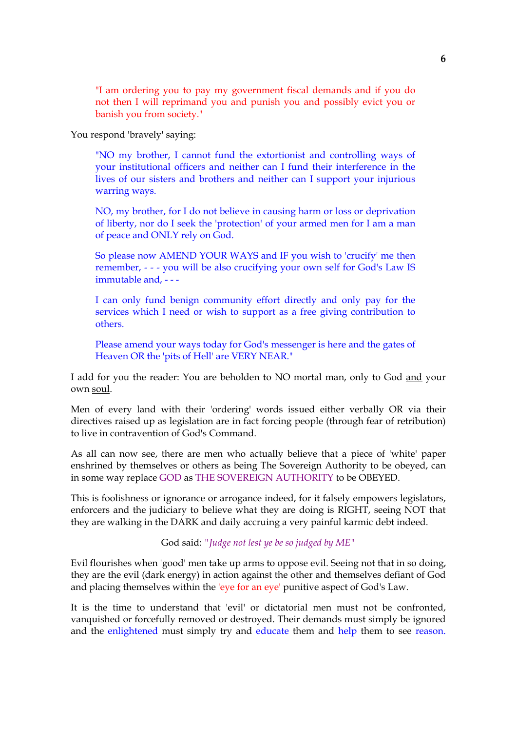"I am ordering you to pay my government fiscal demands and if you do not then I will reprimand you and punish you and possibly evict you or banish you from society."

You respond 'bravely' saying:

"NO my brother, I cannot fund the extortionist and controlling ways of your institutional officers and neither can I fund their interference in the lives of our sisters and brothers and neither can I support your injurious warring ways.

NO, my brother, for I do not believe in causing harm or loss or deprivation of liberty, nor do I seek the 'protection' of your armed men for I am a man of peace and ONLY rely on God.

So please now AMEND YOUR WAYS and IF you wish to 'crucify' me then remember, - - - you will be also crucifying your own self for God's Law IS immutable and, - - -

I can only fund benign community effort directly and only pay for the services which I need or wish to support as a free giving contribution to others.

Please amend your ways today for God's messenger is here and the gates of Heaven OR the 'pits of Hell' are VERY NEAR."

I add for you the reader: You are beholden to NO mortal man, only to God and your own soul.

Men of every land with their 'ordering' words issued either verbally OR via their directives raised up as legislation are in fact forcing people (through fear of retribution) to live in contravention of God's Command.

As all can now see, there are men who actually believe that a piece of 'white' paper enshrined by themselves or others as being The Sovereign Authority to be obeyed, can in some way replace GOD as THE SOVEREIGN AUTHORITY to be OBEYED.

This is foolishness or ignorance or arrogance indeed, for it falsely empowers legislators, enforcers and the judiciary to believe what they are doing is RIGHT, seeing NOT that they are walking in the DARK and daily accruing a very painful karmic debt indeed.

God said: *"Judge not lest ye be so judged by ME"*

Evil flourishes when 'good' men take up arms to oppose evil. Seeing not that in so doing, they are the evil (dark energy) in action against the other and themselves defiant of God and placing themselves within the 'eye for an eye' punitive aspect of God's Law.

It is the time to understand that 'evil' or dictatorial men must not be confronted, vanquished or forcefully removed or destroyed. Their demands must simply be ignored and the enlightened must simply try and educate them and help them to see reason.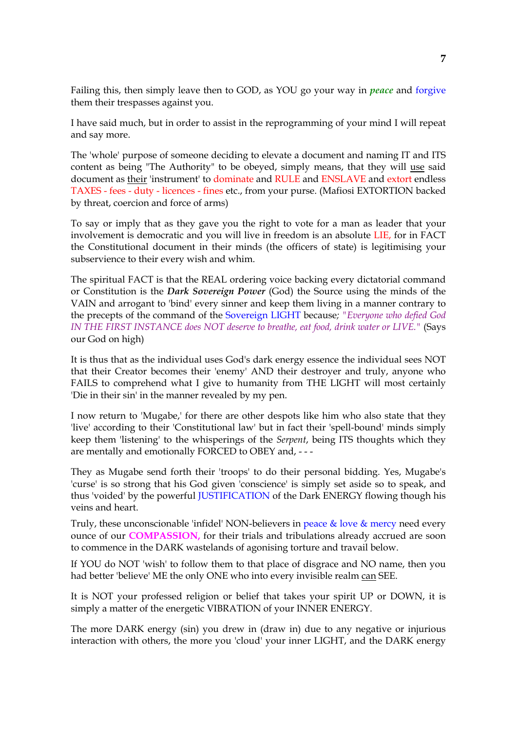Failing this, then simply leave then to GOD, as YOU go your way in *peace* and forgive them their trespasses against you.

I have said much, but in order to assist in the reprogramming of your mind I will repeat and say more.

The 'whole' purpose of someone deciding to elevate a document and naming IT and ITS content as being "The Authority" to be obeyed, simply means, that they will use said document as their 'instrument' to dominate and RULE and ENSLAVE and extort endless TAXES - fees - duty - licences - fines etc., from your purse. (Mafiosi EXTORTION backed by threat, coercion and force of arms)

To say or imply that as they gave you the right to vote for a man as leader that your involvement is democratic and you will live in freedom is an absolute LIE, for in FACT the Constitutional document in their minds (the officers of state) is legitimising your subservience to their every wish and whim.

The spiritual FACT is that the REAL ordering voice backing every dictatorial command or Constitution is the *Dark Sovereign Power* (God) the Source using the minds of the VAIN and arrogant to 'bind' every sinner and keep them living in a manner contrary to the precepts of the command of the Sovereign LIGHT because*; "Everyone who defied God IN THE FIRST INSTANCE does NOT deserve to breathe, eat food, drink water or LIVE."* (Says our God on high)

It is thus that as the individual uses God's dark energy essence the individual sees NOT that their Creator becomes their 'enemy' AND their destroyer and truly, anyone who FAILS to comprehend what I give to humanity from THE LIGHT will most certainly 'Die in their sin' in the manner revealed by my pen.

I now return to 'Mugabe,' for there are other despots like him who also state that they 'live' according to their 'Constitutional law' but in fact their 'spell-bound' minds simply keep them 'listening' to the whisperings of the *Serpent*, being ITS thoughts which they are mentally and emotionally FORCED to OBEY and, - - -

They as Mugabe send forth their 'troops' to do their personal bidding. Yes, Mugabe's 'curse' is so strong that his God given 'conscience' is simply set aside so to speak, and thus 'voided' by the powerful JUSTIFICATION of the Dark ENERGY flowing though his veins and heart.

Truly, these unconscionable 'infidel' NON-believers in peace & love & mercy need every ounce of our **COMPASSION,** for their trials and tribulations already accrued are soon to commence in the DARK wastelands of agonising torture and travail below.

If YOU do NOT 'wish' to follow them to that place of disgrace and NO name, then you had better 'believe' ME the only ONE who into every invisible realm can SEE.

It is NOT your professed religion or belief that takes your spirit UP or DOWN, it is simply a matter of the energetic VIBRATION of your INNER ENERGY.

The more DARK energy (sin) you drew in (draw in) due to any negative or injurious interaction with others, the more you 'cloud' your inner LIGHT, and the DARK energy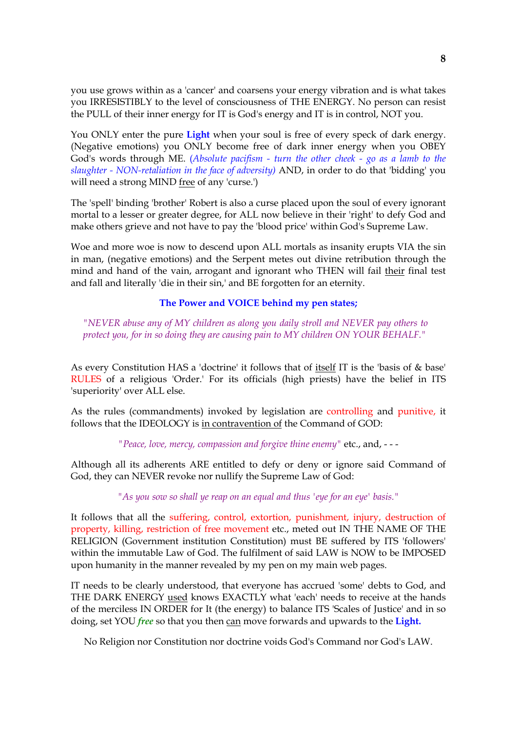you use grows within as a 'cancer' and coarsens your energy vibration and is what takes you IRRESISTIBLY to the level of consciousness of THE ENERGY. No person can resist the PULL of their inner energy for IT is God's energy and IT is in control, NOT you.

You ONLY enter the pure **Light** when your soul is free of every speck of dark energy. (Negative emotions) you ONLY become free of dark inner energy when you OBEY God's words through ME. (*Absolute pacifism - turn the other cheek - go as a lamb to the slaughter - NON-retaliation in the face of adversity)* AND, in order to do that 'bidding' you will need a strong MIND free of any 'curse.')

The 'spell' binding 'brother' Robert is also a curse placed upon the soul of every ignorant mortal to a lesser or greater degree, for ALL now believe in their 'right' to defy God and make others grieve and not have to pay the 'blood price' within God's Supreme Law.

Woe and more woe is now to descend upon ALL mortals as insanity erupts VIA the sin in man, (negative emotions) and the Serpent metes out divine retribution through the mind and hand of the vain, arrogant and ignorant who THEN will fail their final test and fall and literally 'die in their sin,' and BE forgotten for an eternity.

## **The Power and VOICE behind my pen states;**

*"NEVER abuse any of MY children as along you daily stroll and NEVER pay others to protect you, for in so doing they are causing pain to MY children ON YOUR BEHALF."*

As every Constitution HAS a 'doctrine' it follows that of itself IT is the 'basis of & base' RULES of a religious 'Order.' For its officials (high priests) have the belief in ITS 'superiority' over ALL else.

As the rules (commandments) invoked by legislation are controlling and punitive, it follows that the IDEOLOGY is in contravention of the Command of GOD:

*"Peace, love, mercy, compassion and forgive thine enemy"* etc., and, - - -

Although all its adherents ARE entitled to defy or deny or ignore said Command of God, they can NEVER revoke nor nullify the Supreme Law of God:

*"As you sow so shall ye reap on an equal and thus 'eye for an eye' basis."*

It follows that all the suffering, control, extortion, punishment, injury, destruction of property, killing, restriction of free movement etc., meted out IN THE NAME OF THE RELIGION (Government institution Constitution) must BE suffered by ITS 'followers' within the immutable Law of God. The fulfilment of said LAW is NOW to be IMPOSED upon humanity in the manner revealed by my pen on my main web pages.

IT needs to be clearly understood, that everyone has accrued 'some' debts to God, and THE DARK ENERGY used knows EXACTLY what 'each' needs to receive at the hands of the merciless IN ORDER for It (the energy) to balance ITS 'Scales of Justice' and in so doing, set YOU *free* so that you then can move forwards and upwards to the **Light.**

No Religion nor Constitution nor doctrine voids God's Command nor God's LAW.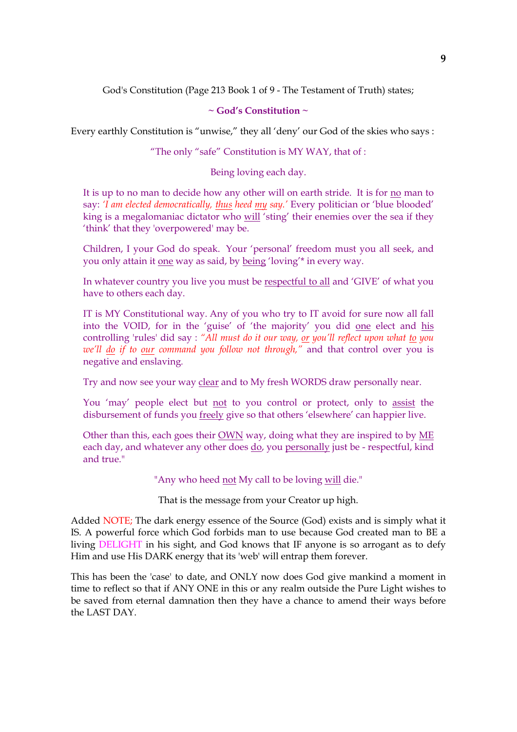God's Constitution (Page 213 Book 1 of 9 - The Testament of Truth) states;

## **~ God's Constitution ~**

Every earthly Constitution is "unwise," they all 'deny' our God of the skies who says :

"The only "safe" Constitution is MY WAY, that of :

Being loving each day.

It is up to no man to decide how any other will on earth stride. It is for no man to say: *'I am elected democratically, thus heed my say.'* Every politician or 'blue blooded' king is a megalomaniac dictator who will 'sting' their enemies over the sea if they 'think' that they 'overpowered' may be.

Children, I your God do speak. Your 'personal' freedom must you all seek, and you only attain it one way as said, by being 'loving'\* in every way.

In whatever country you live you must be respectful to all and 'GIVE' of what you have to others each day.

IT is MY Constitutional way. Any of you who try to IT avoid for sure now all fall into the VOID, for in the 'guise' of 'the majority' you did one elect and his controlling 'rules' did say : *"All must do it our way, or you'll reflect upon what to you we'll do if to our command you follow not through,"* and that control over you is negative and enslaving*.*

Try and now see your way clear and to My fresh WORDS draw personally near.

You 'may' people elect but not to you control or protect, only to assist the disbursement of funds you freely give so that others 'elsewhere' can happier live.

Other than this, each goes their OWN way, doing what they are inspired to by ME each day, and whatever any other does do, you personally just be - respectful, kind and true."

"Any who heed not My call to be loving will die."

That is the message from your Creator up high.

Added NOTE; The dark energy essence of the Source (God) exists and is simply what it IS. A powerful force which God forbids man to use because God created man to BE a living DELIGHT in his sight, and God knows that IF anyone is so arrogant as to defy Him and use His DARK energy that its 'web' will entrap them forever.

This has been the 'case' to date, and ONLY now does God give mankind a moment in time to reflect so that if ANY ONE in this or any realm outside the Pure Light wishes to be saved from eternal damnation then they have a chance to amend their ways before the LAST DAY.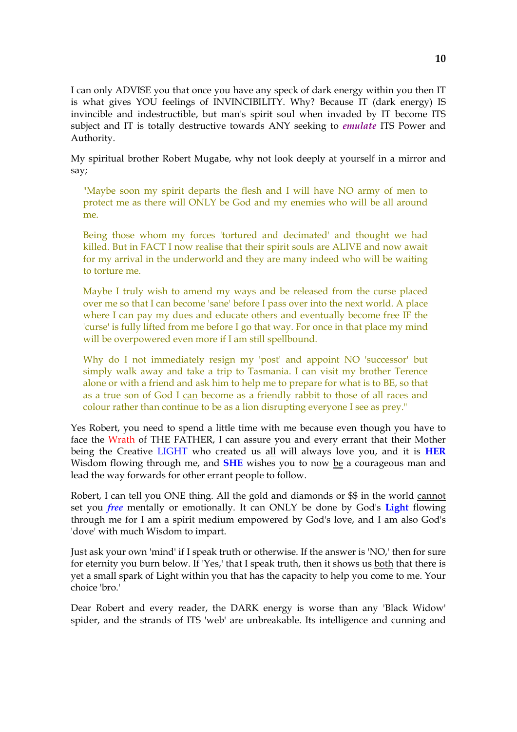I can only ADVISE you that once you have any speck of dark energy within you then IT is what gives YOU feelings of INVINCIBILITY. Why? Because IT (dark energy) IS invincible and indestructible, but man's spirit soul when invaded by IT become ITS subject and IT is totally destructive towards ANY seeking to *emulate* ITS Power and Authority.

My spiritual brother Robert Mugabe, why not look deeply at yourself in a mirror and say;

"Maybe soon my spirit departs the flesh and I will have NO army of men to protect me as there will ONLY be God and my enemies who will be all around me.

Being those whom my forces 'tortured and decimated' and thought we had killed. But in FACT I now realise that their spirit souls are ALIVE and now await for my arrival in the underworld and they are many indeed who will be waiting to torture me.

Maybe I truly wish to amend my ways and be released from the curse placed over me so that I can become 'sane' before I pass over into the next world. A place where I can pay my dues and educate others and eventually become free IF the 'curse' is fully lifted from me before I go that way. For once in that place my mind will be overpowered even more if I am still spellbound.

Why do I not immediately resign my 'post' and appoint NO 'successor' but simply walk away and take a trip to Tasmania. I can visit my brother Terence alone or with a friend and ask him to help me to prepare for what is to BE, so that as a true son of God I can become as a friendly rabbit to those of all races and colour rather than continue to be as a lion disrupting everyone I see as prey."

Yes Robert, you need to spend a little time with me because even though you have to face the Wrath of THE FATHER, I can assure you and every errant that their Mother being the Creative LIGHT who created us all will always love you, and it is **HER** Wisdom flowing through me, and **SHE** wishes you to now be a courageous man and lead the way forwards for other errant people to follow.

Robert, I can tell you ONE thing. All the gold and diamonds or \$\$ in the world cannot set you *free* mentally or emotionally. It can ONLY be done by God's **Light** flowing through me for I am a spirit medium empowered by God's love, and I am also God's 'dove' with much Wisdom to impart.

Just ask your own 'mind' if I speak truth or otherwise. If the answer is 'NO,' then for sure for eternity you burn below. If 'Yes,' that I speak truth, then it shows us both that there is yet a small spark of Light within you that has the capacity to help you come to me. Your choice 'bro.'

Dear Robert and every reader, the DARK energy is worse than any 'Black Widow' spider, and the strands of ITS 'web' are unbreakable. Its intelligence and cunning and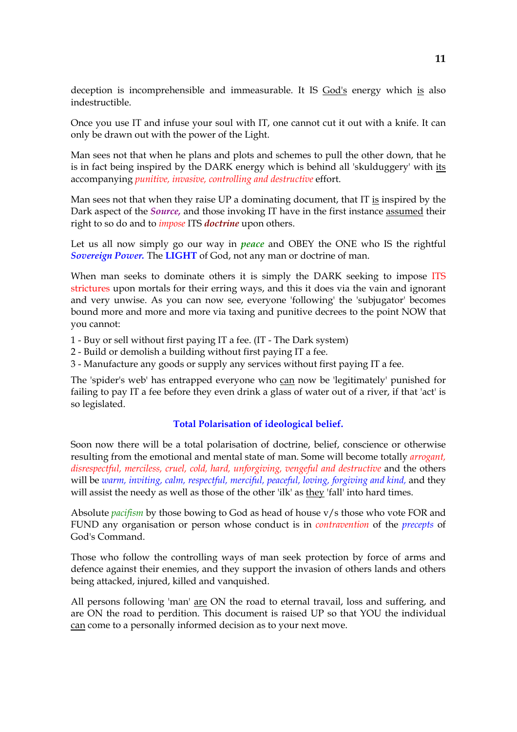deception is incomprehensible and immeasurable. It IS God's energy which is also indestructible.

Once you use IT and infuse your soul with IT, one cannot cut it out with a knife. It can only be drawn out with the power of the Light.

Man sees not that when he plans and plots and schemes to pull the other down, that he is in fact being inspired by the DARK energy which is behind all 'skulduggery' with its accompanying *punitive, invasive, controlling and destructive* effort.

Man sees not that when they raise UP a dominating document, that IT is inspired by the Dark aspect of the *Source,* and those invoking IT have in the first instance assumed their right to so do and to *impose* ITS *doctrine* upon others.

Let us all now simply go our way in *peace* and OBEY the ONE who IS the rightful *Sovereign Power.* The **LIGHT** of God, not any man or doctrine of man.

When man seeks to dominate others it is simply the DARK seeking to impose ITS strictures upon mortals for their erring ways, and this it does via the vain and ignorant and very unwise. As you can now see, everyone 'following' the 'subjugator' becomes bound more and more and more via taxing and punitive decrees to the point NOW that you cannot:

1 - Buy or sell without first paying IT a fee. (IT - The Dark system)

- 2 Build or demolish a building without first paying IT a fee.
- 3 Manufacture any goods or supply any services without first paying IT a fee.

The 'spider's web' has entrapped everyone who can now be 'legitimately' punished for failing to pay IT a fee before they even drink a glass of water out of a river, if that 'act' is so legislated.

### **Total Polarisation of ideological belief.**

Soon now there will be a total polarisation of doctrine, belief, conscience or otherwise resulting from the emotional and mental state of man. Some will become totally *arrogant, disrespectful, merciless, cruel, cold, hard, unforgiving, vengeful and destructive* and the others will be *warm, inviting, calm, respectful, merciful, peaceful, loving, forgiving and kind, and they* will assist the needy as well as those of the other 'ilk' as they 'fall' into hard times.

Absolute *pacifism* by those bowing to God as head of house v/s those who vote FOR and FUND any organisation or person whose conduct is in *contravention* of the *precepts* of God's Command.

Those who follow the controlling ways of man seek protection by force of arms and defence against their enemies, and they support the invasion of others lands and others being attacked, injured, killed and vanquished.

All persons following 'man' are ON the road to eternal travail, loss and suffering, and are ON the road to perdition. This document is raised UP so that YOU the individual can come to a personally informed decision as to your next move.